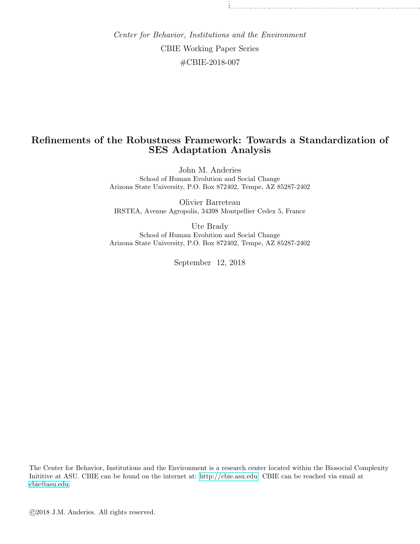Center for Behavior, Institutions and the Environment CBIE Working Paper Series #CBIE-2018-007

## Refinements of the Robustness Framework: Towards a Standardization of SES Adaptation Analysis

John M. Anderies School of Human Evolution and Social Change Arizona State University, P.O. Box 872402, Tempe, AZ 85287-2402

Olivier Barreteau IRSTEA, Avenue Agropolis, 34398 Montpellier Cedex 5, France

Ute Brady School of Human Evolution and Social Change Arizona State University, P.O. Box 872402, Tempe, AZ 85287-2402

September 12, 2018

The Center for Behavior, Institutions and the Environment is a research center located within the Biosocial Complexity Inititive at ASU. CBIE can be found on the internet at: [http://cbie.asu.edu.](http://cbie.asu.edu) CBIE can be reached via email at [cbie@asu.edu.](mailto:cbie@asu.edu)

c 2018 J.M. Anderies. All rights reserved.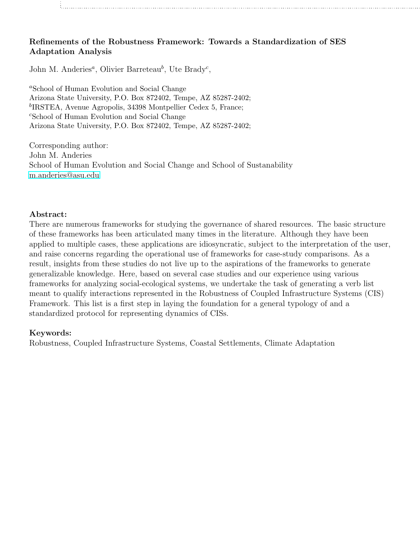## Refinements of the Robustness Framework: Towards a Standardization of SES Adaptation Analysis

John M. Anderies<sup>a</sup>, Olivier Barreteau<sup>b</sup>, Ute Brady<sup>c</sup>,

<sup>a</sup>School of Human Evolution and Social Change Arizona State University, P.O. Box 872402, Tempe, AZ 85287-2402; <sup>b</sup>IRSTEA, Avenue Agropolis, 34398 Montpellier Cedex 5, France; <sup>c</sup>School of Human Evolution and Social Change Arizona State University, P.O. Box 872402, Tempe, AZ 85287-2402;

Corresponding author: John M. Anderies School of Human Evolution and Social Change and School of Sustanability [m.anderies@asu.edu](mailto:m.anderies@asu.edu)

### Abstract:

There are numerous frameworks for studying the governance of shared resources. The basic structure of these frameworks has been articulated many times in the literature. Although they have been applied to multiple cases, these applications are idiosyncratic, subject to the interpretation of the user, and raise concerns regarding the operational use of frameworks for case-study comparisons. As a result, insights from these studies do not live up to the aspirations of the frameworks to generate generalizable knowledge. Here, based on several case studies and our experience using various frameworks for analyzing social-ecological systems, we undertake the task of generating a verb list meant to qualify interactions represented in the Robustness of Coupled Infrastructure Systems (CIS) Framework. This list is a first step in laying the foundation for a general typology of and a standardized protocol for representing dynamics of CISs.

### Keywords:

Robustness, Coupled Infrastructure Systems, Coastal Settlements, Climate Adaptation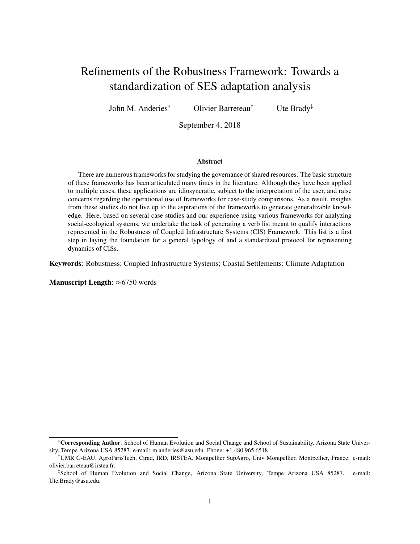# Refinements of the Robustness Framework: Towards a standardization of SES adaptation analysis

John M. Anderies<sup>∗</sup> Olivier Barreteau† Ute Brady‡

September 4, 2018

#### Abstract

There are numerous frameworks for studying the governance of shared resources. The basic structure of these frameworks has been articulated many times in the literature. Although they have been applied to multiple cases, these applications are idiosyncratic, subject to the interpretation of the user, and raise concerns regarding the operational use of frameworks for case-study comparisons. As a result, insights from these studies do not live up to the aspirations of the frameworks to generate generalizable knowledge. Here, based on several case studies and our experience using various frameworks for analyzing social-ecological systems, we undertake the task of generating a verb list meant to qualify interactions represented in the Robustness of Coupled Infrastructure Systems (CIS) Framework. This list is a first step in laying the foundation for a general typology of and a standardized protocol for representing dynamics of CISs.

Keywords: Robustness; Coupled Infrastructure Systems; Coastal Settlements; Climate Adaptation

Manuscript Length: ≈6750 words

<sup>∗</sup>Corresponding Author. School of Human Evolution and Social Change and School of Sustainability, Arizona State University, Tempe Arizona USA 85287. e-mail: m.anderies@asu.edu. Phone: +1.480.965.6518

<sup>†</sup>UMR G-EAU, AgroParisTech, Cirad, IRD, IRSTEA, Montpellier SupAgro, Univ Montpellier, Montpellier, France. e-mail: olivier.barreteau@irstea.fr.

<sup>‡</sup> School of Human Evolution and Social Change, Arizona State University, Tempe Arizona USA 85287. e-mail: Ute.Brady@asu.edu.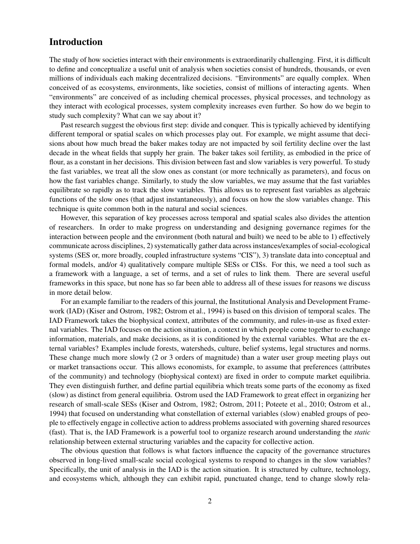## Introduction

The study of how societies interact with their environments is extraordinarily challenging. First, it is difficult to define and conceptualize a useful unit of analysis when societies consist of hundreds, thousands, or even millions of individuals each making decentralized decisions. "Environments" are equally complex. When conceived of as ecosystems, environments, like societies, consist of millions of interacting agents. When "environments" are conceived of as including chemical processes, physical processes, and technology as they interact with ecological processes, system complexity increases even further. So how do we begin to study such complexity? What can we say about it?

Past research suggest the obvious first step: divide and conquer. This is typically achieved by identifying different temporal or spatial scales on which processes play out. For example, we might assume that decisions about how much bread the baker makes today are not impacted by soil fertility decline over the last decade in the wheat fields that supply her grain. The baker takes soil fertility, as embodied in the price of flour, as a constant in her decisions. This division between fast and slow variables is very powerful. To study the fast variables, we treat all the slow ones as constant (or more technically as parameters), and focus on how the fast variables change. Similarly, to study the slow variables, we may assume that the fast variables equilibrate so rapidly as to track the slow variables. This allows us to represent fast variables as algebraic functions of the slow ones (that adjust instantaneously), and focus on how the slow variables change. This technique is quite common both in the natural and social sciences.

However, this separation of key processes across temporal and spatial scales also divides the attention of researchers. In order to make progress on understanding and designing governance regimes for the interaction between people and the environment (both natural and built) we need to be able to 1) effectively communicate across disciplines, 2) systematically gather data across instances/examples of social-ecological systems (SES or, more broadly, coupled infrastructure systems "CIS"), 3) translate data into conceptual and formal models, and/or 4) qualitatively compare multiple SESs or CISs. For this, we need a tool such as a framework with a language, a set of terms, and a set of rules to link them. There are several useful frameworks in this space, but none has so far been able to address all of these issues for reasons we discuss in more detail below.

For an example familiar to the readers of this journal, the Institutional Analysis and Development Framework (IAD) (Kiser and Ostrom, 1982; Ostrom et al., 1994) is based on this division of temporal scales. The IAD Framework takes the biophysical context, attributes of the community, and rules-in-use as fixed external variables. The IAD focuses on the action situation, a context in which people come together to exchange information, materials, and make decisions, as it is conditioned by the external variables. What are the external variables? Examples include forests, watersheds, culture, belief systems, legal structures and norms. These change much more slowly (2 or 3 orders of magnitude) than a water user group meeting plays out or market transactions occur. This allows economists, for example, to assume that preferences (attributes of the community) and technology (biophysical context) are fixed in order to compute market equilibria. They even distinguish further, and define partial equilibria which treats some parts of the economy as fixed (slow) as distinct from general equilibria. Ostrom used the IAD Framework to great effect in organizing her research of small-scale SESs (Kiser and Ostrom, 1982; Ostrom, 2011; Poteete et al., 2010; Ostrom et al., 1994) that focused on understanding what constellation of external variables (slow) enabled groups of people to effectively engage in collective action to address problems associated with governing shared resources (fast). That is, the IAD Framework is a powerful tool to organize research around understanding the *static* relationship between external structuring variables and the capacity for collective action.

The obvious question that follows is what factors influence the capacity of the governance structures observed in long-lived small-scale social ecological systems to respond to changes in the slow variables? Specifically, the unit of analysis in the IAD is the action situation. It is structured by culture, technology, and ecosystems which, although they can exhibit rapid, punctuated change, tend to change slowly rela-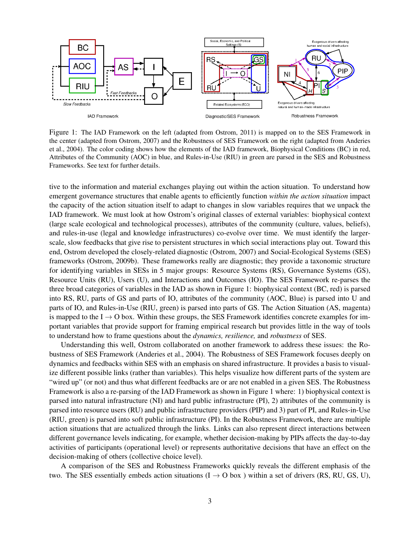

Figure 1: The IAD Framework on the left (adapted from Ostrom, 2011) is mapped on to the SES Framework in the center (adapted from Ostrom, 2007) and the Robustness of SES Framework on the right (adapted from Anderies et al., 2004). The color coding shows how the elements of the IAD framework, Biophysical Conditions (BC) in red, Attributes of the Community (AOC) in blue, and Rules-in-Use (RIU) in green are parsed in the SES and Robustness Frameworks. See text for further details.

tive to the information and material exchanges playing out within the action situation. To understand how emergent governance structures that enable agents to efficiently function *within the action situation* impact the capacity of the action situation itself to adapt to changes in slow variables requires that we unpack the IAD framework. We must look at how Ostrom's original classes of external variables: biophysical context (large scale ecological and technological processes), attributes of the community (culture, values, beliefs), and rules-in-use (legal and knowledge infrastructures) co-evolve over time. We must identify the largerscale, slow feedbacks that give rise to persistent structures in which social interactions play out. Toward this end, Ostrom developed the closely-related diagnostic (Ostrom, 2007) and Social-Ecological Systems (SES) frameworks (Ostrom, 2009b). These frameworks really are diagnostic; they provide a taxonomic structure for identifying variables in SESs in 5 major groups: Resource Systems (RS), Governance Systems (GS), Resource Units (RU), Users (U), and Interactions and Outcomes (IO). The SES Framework re-parses the three broad categories of variables in the IAD as shown in Figure 1: biophysical context (BC, red) is parsed into RS, RU, parts of GS and parts of IO, attributes of the community (AOC, Blue) is parsed into U and parts of IO, and Rules-in-Use (RIU, green) is parsed into parts of GS. The Action Situation (AS, magenta) is mapped to the  $I \rightarrow O$  box. Within these groups, the SES Framework identifies concrete examples for important variables that provide support for framing empirical research but provides little in the way of tools to understand how to frame questions about the *dynamics, resilience,* and *robustness* of SES.

Understanding this well, Ostrom collaborated on another framework to address these issues: the Robustness of SES Framework (Anderies et al., 2004). The Robustness of SES Framework focuses deeply on dynamics and feedbacks within SES with an emphasis on shared infrastructure. It provides a basis to visualize different possible links (rather than variables). This helps visualize how different parts of the system are "wired up" (or not) and thus what different feedbacks are or are not enabled in a given SES. The Robustness Framework is also a re-parsing of the IAD Framework as shown in Figure 1 where: 1) biophysical context is parsed into natural infrastructure (NI) and hard public infrastructure (PI), 2) attributes of the community is parsed into resource users (RU) and public infrastructure providers (PIP) and 3) part of PI, and Rules-in-Use (RIU, green) is parsed into soft public infrastructure (PI). In the Robustness Framework, there are multiple action situations that are actualized through the links. Links can also represent direct interactions between different governance levels indicating, for example, whether decision-making by PIPs affects the day-to-day activities of participants (operational level) or represents authoritative decisions that have an effect on the decision-making of others (collective choice level).

A comparison of the SES and Robustness Frameworks quickly reveals the different emphasis of the two. The SES essentially embeds action situations ( $I \rightarrow O$  box) within a set of drivers (RS, RU, GS, U),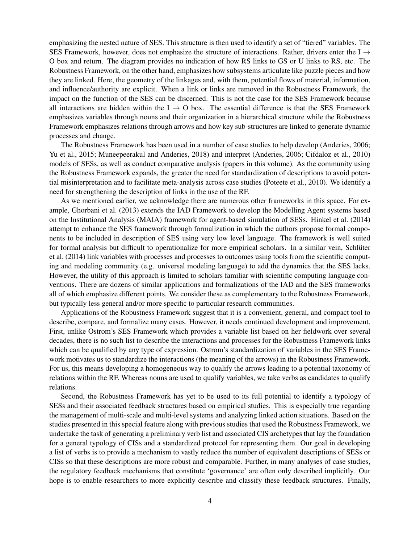emphasizing the nested nature of SES. This structure is then used to identify a set of "tiered" variables. The SES Framework, however, does not emphasize the structure of interactions. Rather, drivers enter the I  $\rightarrow$ O box and return. The diagram provides no indication of how RS links to GS or U links to RS, etc. The Robustness Framework, on the other hand, emphasizes how subsystems articulate like puzzle pieces and how they are linked. Here, the geometry of the linkages and, with them, potential flows of material, information, and influence/authority are explicit. When a link or links are removed in the Robustness Framework, the impact on the function of the SES can be discerned. This is not the case for the SES Framework because all interactions are hidden within the  $I \rightarrow O$  box. The essential difference is that the SES Framework emphasizes variables through nouns and their organization in a hierarchical structure while the Robustness Framework emphasizes relations through arrows and how key sub-structures are linked to generate dynamic processes and change.

The Robustness Framework has been used in a number of case studies to help develop (Anderies, 2006; Yu et al., 2015; Muneepeerakul and Anderies, 2018) and interpret (Anderies, 2006; Cifdaloz et al., 2010) models of SESs, as well as conduct comparative analysis (papers in this volume). As the community using the Robustness Framework expands, the greater the need for standardization of descriptions to avoid potential misinterpretation and to facilitate meta-analysis across case studies (Poteete et al., 2010). We identify a need for strengthening the description of links in the use of the RF.

As we mentioned earlier, we acknowledge there are numerous other frameworks in this space. For example, Ghorbani et al. (2013) extends the IAD Framework to develop the Modelling Agent systems based on the Institutional Analysis (MAIA) framework for agent-based simulation of SESs. Hinkel et al. (2014) attempt to enhance the SES framework through formalization in which the authors propose formal components to be included in description of SES using very low level language. The framework is well suited for formal analysis but difficult to operationalize for more empirical scholars. In a similar vein, Schlüter et al. (2014) link variables with processes and processes to outcomes using tools from the scientific computing and modeling community (e.g. universal modeling language) to add the dynamics that the SES lacks. However, the utility of this approach is limited to scholars familiar with scientific computing language conventions. There are dozens of similar applications and formalizations of the IAD and the SES frameworks all of which emphasize different points. We consider these as complementary to the Robustness Framework, but typically less general and/or more specific to particular research communities.

Applications of the Robustness Framework suggest that it is a convenient, general, and compact tool to describe, compare, and formalize many cases. However, it needs continued development and improvement. First, unlike Ostrom's SES Framework which provides a variable list based on her fieldwork over several decades, there is no such list to describe the interactions and processes for the Robustness Framework links which can be qualified by any type of expression. Ostrom's standardization of variables in the SES Framework motivates us to standardize the interactions (the meaning of the arrows) in the Robustness Framework. For us, this means developing a homogeneous way to qualify the arrows leading to a potential taxonomy of relations within the RF. Whereas nouns are used to qualify variables, we take verbs as candidates to qualify relations.

Second, the Robustness Framework has yet to be used to its full potential to identify a typology of SESs and their associated feedback structures based on empirical studies. This is especially true regarding the management of multi-scale and multi-level systems and analyzing linked action situations. Based on the studies presented in this special feature along with previous studies that used the Robustness Framework, we undertake the task of generating a preliminary verb list and associated CIS archetypes that lay the foundation for a general typology of CISs and a standardized protocol for representing them. Our goal in developing a list of verbs is to provide a mechanism to vastly reduce the number of equivalent descriptions of SESs or CISs so that these descriptions are more robust and comparable. Further, in many analyses of case studies, the regulatory feedback mechanisms that constitute 'governance' are often only described implicitly. Our hope is to enable researchers to more explicitly describe and classify these feedback structures. Finally,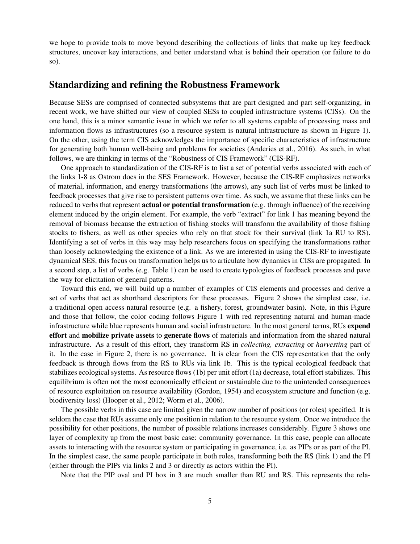we hope to provide tools to move beyond describing the collections of links that make up key feedback structures, uncover key interactions, and better understand what is behind their operation (or failure to do so).

#### Standardizing and refining the Robustness Framework

Because SESs are comprised of connected subsystems that are part designed and part self-organizing, in recent work, we have shifted our view of coupled SESs to coupled infrastructure systems (CISs). On the one hand, this is a minor semantic issue in which we refer to all systems capable of processing mass and information flows as infrastructures (so a resource system is natural infrastructure as shown in Figure 1). On the other, using the term CIS acknowledges the importance of specific characteristics of infrastructure for generating both human well-being and problems for societies (Anderies et al., 2016). As such, in what follows, we are thinking in terms of the "Robustness of CIS Framework" (CIS-RF).

One approach to standardization of the CIS-RF is to list a set of potential verbs associated with each of the links 1-8 as Ostrom does in the SES Framework. However, because the CIS-RF emphasizes networks of material, information, and energy transformations (the arrows), any such list of verbs must be linked to feedback processes that give rise to persistent patterns over time. As such, we assume that these links can be reduced to verbs that represent **actual or potential transformation** (e.g. through influence) of the receiving element induced by the origin element. For example, the verb "extract" for link 1 has meaning beyond the removal of biomass because the extraction of fishing stocks will transform the availability of those fishing stocks to fishers, as well as other species who rely on that stock for their survival (link 1a RU to RS). Identifying a set of verbs in this way may help researchers focus on specifying the transformations rather than loosely acknowledging the existence of a link. As we are interested in using the CIS-RF to investigate dynamical SES, this focus on transformation helps us to articulate how dynamics in CISs are propagated. In a second step, a list of verbs (e.g. Table 1) can be used to create typologies of feedback processes and pave the way for elicitation of general patterns.

Toward this end, we will build up a number of examples of CIS elements and processes and derive a set of verbs that act as shorthand descriptors for these processes. Figure 2 shows the simplest case, i.e. a traditional open access natural resource (e.g. a fishery, forest, groundwater basin). Note, in this Figure and those that follow, the color coding follows Figure 1 with red representing natural and human-made infrastructure while blue represents human and social infrastructure. In the most general terms, RUs expend effort and mobilize private assets to generate flows of materials and information from the shared natural infrastructure. As a result of this effort, they transform RS in *collecting, extracting* or *harvesting* part of it. In the case in Figure 2, there is no governance. It is clear from the CIS representation that the only feedback is through flows from the RS to RUs via link 1b. This is the typical ecological feedback that stabilizes ecological systems. As resource flows (1b) per unit effort (1a) decrease, total effort stabilizes. This equilibrium is often not the most economically efficient or sustainable due to the unintended consequences of resource exploitation on resource availability (Gordon, 1954) and ecosystem structure and function (e.g. biodiversity loss) (Hooper et al., 2012; Worm et al., 2006).

The possible verbs in this case are limited given the narrow number of positions (or roles) specified. It is seldom the case that RUs assume only one position in relation to the resource system. Once we introduce the possibility for other positions, the number of possible relations increases considerably. Figure 3 shows one layer of complexity up from the most basic case: community governance. In this case, people can allocate assets to interacting with the resource system or participating in governance, i.e. as PIPs or as part of the PI. In the simplest case, the same people participate in both roles, transforming both the RS (link 1) and the PI (either through the PIPs via links 2 and 3 or directly as actors within the PI).

Note that the PIP oval and PI box in 3 are much smaller than RU and RS. This represents the rela-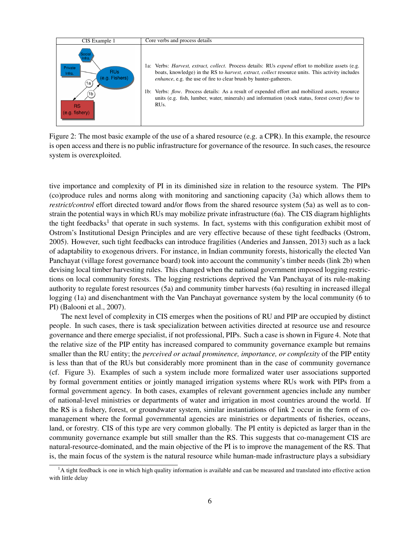

Figure 2: The most basic example of the use of a shared resource (e.g. a CPR). In this example, the resource is open access and there is no public infrastructure for governance of the resource. In such cases, the resource system is overexploited.

tive importance and complexity of PI in its diminished size in relation to the resource system. The PIPs (co)produce rules and norms along with monitoring and sanctioning capacity (3a) which allows them to *restrict/control* effort directed toward and/or flows from the shared resource system (5a) as well as to constrain the potential ways in which RUs may mobilize private infrastructure (6a). The CIS diagram highlights the tight feedbacks<sup>1</sup> that operate in such systems. In fact, systems with this configuration exhibit most of Ostrom's Institutional Design Principles and are very effective because of these tight feedbacks (Ostrom, 2005). However, such tight feedbacks can introduce fragilities (Anderies and Janssen, 2013) such as a lack of adaptability to exogenous drivers. For instance, in Indian community forests, historically the elected Van Panchayat (village forest governance board) took into account the community's timber needs (link 2b) when devising local timber harvesting rules. This changed when the national government imposed logging restrictions on local community forests. The logging restrictions deprived the Van Panchayat of its rule-making authority to regulate forest resources (5a) and community timber harvests (6a) resulting in increased illegal logging (1a) and disenchantment with the Van Panchayat governance system by the local community (6 to PI) (Balooni et al., 2007).

The next level of complexity in CIS emerges when the positions of RU and PIP are occupied by distinct people. In such cases, there is task specialization between activities directed at resource use and resource governance and there emerge specialist, if not professional, PIPs. Such a case is shown in Figure 4. Note that the relative size of the PIP entity has increased compared to community governance example but remains smaller than the RU entity; the *perceived or actual prominence, importance, or complexity* of the PIP entity is less than that of the RUs but considerably more prominent than in the case of community governance (cf. Figure 3). Examples of such a system include more formalized water user associations supported by formal government entities or jointly managed irrigation systems where RUs work with PIPs from a formal government agency. In both cases, examples of relevant government agencies include any number of national-level ministries or departments of water and irrigation in most countries around the world. If the RS is a fishery, forest, or groundwater system, similar instantiations of link 2 occur in the form of comanagement where the formal governmental agencies are ministries or departments of fisheries, oceans, land, or forestry. CIS of this type are very common globally. The PI entity is depicted as larger than in the community governance example but still smaller than the RS. This suggests that co-management CIS are natural-resource-dominated, and the main objective of the PI is to improve the management of the RS. That is, the main focus of the system is the natural resource while human-made infrastructure plays a subsidiary

<sup>&</sup>lt;sup>1</sup>A tight feedback is one in which high quality information is available and can be measured and translated into effective action with little delay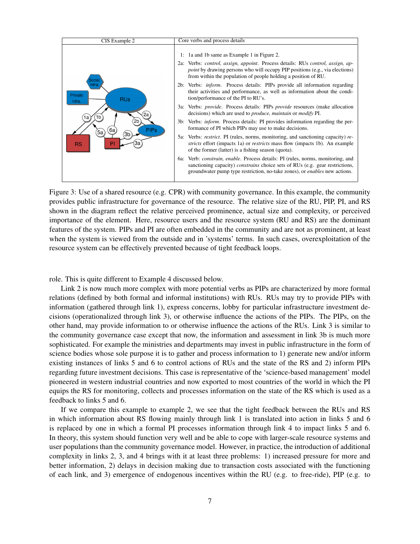

Figure 3: Use of a shared resource (e.g. CPR) with community governance. In this example, the community provides public infrastructure for governance of the resource. The relative size of the RU, PIP, PI, and RS shown in the diagram reflect the relative perceived prominence, actual size and complexity, or perceived importance of the element. Here, resource users and the resource system (RU and RS) are the dominant features of the system. PIPs and PI are often embedded in the community and are not as prominent, at least when the system is viewed from the outside and in 'systems' terms. In such cases, overexploitation of the resource system can be effectively prevented because of tight feedback loops.

role. This is quite different to Example 4 discussed below.

Link 2 is now much more complex with more potential verbs as PIPs are characterized by more formal relations (defined by both formal and informal institutions) with RUs. RUs may try to provide PIPs with information (gathered through link 1), express concerns, lobby for particular infrastructure investment decisions (operationalized through link 3), or otherwise influence the actions of the PIPs. The PIPs, on the other hand, may provide information to or otherwise influence the actions of the RUs. Link 3 is similar to the community governance case except that now, the information and assessment in link 3b is much more sophisticated. For example the ministries and departments may invest in public infrastructure in the form of science bodies whose sole purpose it is to gather and process information to 1) generate new and/or inform existing instances of links 5 and 6 to control actions of RUs and the state of the RS and 2) inform PIPs regarding future investment decisions. This case is representative of the 'science-based management' model pioneered in western industrial countries and now exported to most countries of the world in which the PI equips the RS for monitoring, collects and processes information on the state of the RS which is used as a feedback to links 5 and 6.

If we compare this example to example 2, we see that the tight feedback between the RUs and RS in which information about RS flowing mainly through link 1 is translated into action in links 5 and 6 is replaced by one in which a formal PI processes information through link 4 to impact links 5 and 6. In theory, this system should function very well and be able to cope with larger-scale resource systems and user populations than the community governance model. However, in practice, the introduction of additional complexity in links 2, 3, and 4 brings with it at least three problems: 1) increased pressure for more and better information, 2) delays in decision making due to transaction costs associated with the functioning of each link, and 3) emergence of endogenous incentives within the RU (e.g. to free-ride), PIP (e.g. to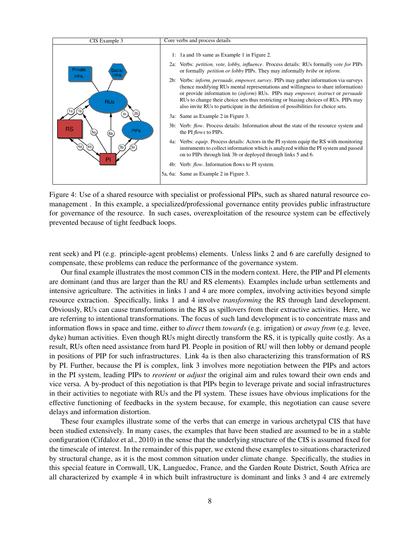

Figure 4: Use of a shared resource with specialist or professional PIPs, such as shared natural resource comanagement . In this example, a specialized/professional governance entity provides public infrastructure for governance of the resource. In such cases, overexploitation of the resource system can be effectively prevented because of tight feedback loops.

rent seek) and PI (e.g. principle-agent problems) elements. Unless links 2 and 6 are carefully designed to compensate, these problems can reduce the performance of the governance system.

Our final example illustrates the most common CIS in the modern context. Here, the PIP and PI elements are dominant (and thus are larger than the RU and RS elements). Examples include urban settlements and intensive agriculture. The activities in links 1 and 4 are more complex, involving activities beyond simple resource extraction. Specifically, links 1 and 4 involve *transforming* the RS through land development. Obviously, RUs can cause transformations in the RS as spillovers from their extractive activities. Here, we are referring to intentional transformations. The focus of such land development is to concentrate mass and information flows in space and time, either to *direct* them *towards* (e.g. irrigation) or *away from* (e.g. levee, dyke) human activities. Even though RUs might directly transform the RS, it is typically quite costly. As a result, RUs often need assistance from hard PI. People in position of RU will then lobby or demand people in positions of PIP for such infrastructures. Link 4a is then also characterizing this transformation of RS by PI. Further, because the PI is complex, link 3 involves more negotiation between the PIPs and actors in the PI system, leading PIPs to *reorient* or *adjust* the original aim and rules toward their own ends and vice versa. A by-product of this negotiation is that PIPs begin to leverage private and social infrastructures in their activities to negotiate with RUs and the PI system. These issues have obvious implications for the effective functioning of feedbacks in the system because, for example, this negotiation can cause severe delays and information distortion.

These four examples illustrate some of the verbs that can emerge in various archetypal CIS that have been studied extensively. In many cases, the examples that have been studied are assumed to be in a stable configuration (Cifdaloz et al., 2010) in the sense that the underlying structure of the CIS is assumed fixed for the timescale of interest. In the remainder of this paper, we extend these examples to situations characterized by structural change, as it is the most common situation under climate change. Specifically, the studies in this special feature in Cornwall, UK, Languedoc, France, and the Garden Route District, South Africa are all characterized by example 4 in which built infrastructure is dominant and links 3 and 4 are extremely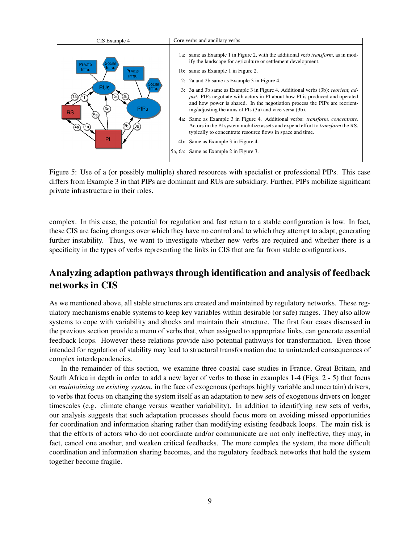

Figure 5: Use of a (or possibly multiple) shared resources with specialist or professional PIPs. This case differs from Example 3 in that PIPs are dominant and RUs are subsidiary. Further, PIPs mobilize significant private infrastructure in their roles.

complex. In this case, the potential for regulation and fast return to a stable configuration is low. In fact, these CIS are facing changes over which they have no control and to which they attempt to adapt, generating further instability. Thus, we want to investigate whether new verbs are required and whether there is a specificity in the types of verbs representing the links in CIS that are far from stable configurations.

## Analyzing adaption pathways through identification and analysis of feedback networks in CIS

As we mentioned above, all stable structures are created and maintained by regulatory networks. These regulatory mechanisms enable systems to keep key variables within desirable (or safe) ranges. They also allow systems to cope with variability and shocks and maintain their structure. The first four cases discussed in the previous section provide a menu of verbs that, when assigned to appropriate links, can generate essential feedback loops. However these relations provide also potential pathways for transformation. Even those intended for regulation of stability may lead to structural transformation due to unintended consequences of complex interdependencies.

In the remainder of this section, we examine three coastal case studies in France, Great Britain, and South Africa in depth in order to add a new layer of verbs to those in examples 1-4 (Figs. 2 - 5) that focus on *maintaining an existing system*, in the face of exogenous (perhaps highly variable and uncertain) drivers, to verbs that focus on changing the system itself as an adaptation to new sets of exogenous drivers on longer timescales (e.g. climate change versus weather variability). In addition to identifying new sets of verbs, our analysis suggests that such adaptation processes should focus more on avoiding missed opportunities for coordination and information sharing rather than modifying existing feedback loops. The main risk is that the efforts of actors who do not coordinate and/or communicate are not only ineffective, they may, in fact, cancel one another, and weaken critical feedbacks. The more complex the system, the more difficult coordination and information sharing becomes, and the regulatory feedback networks that hold the system together become fragile.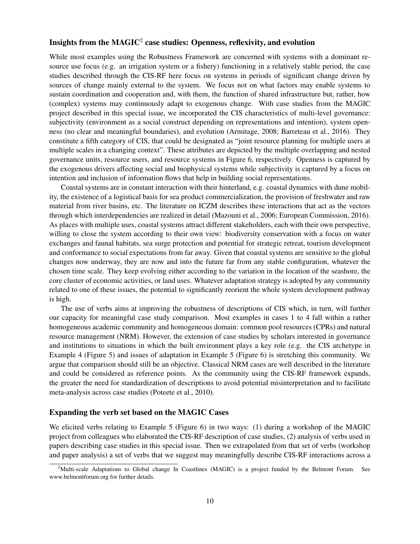## Insights from the  $\text{MAGIC}^2$  case studies: Openness, reflexivity, and evolution

While most examples using the Robustness Framework are concerned with systems with a dominant resource use focus (e.g. an irrigation system or a fishery) functioning in a relatively stable period, the case studies described through the CIS-RF here focus on systems in periods of significant change driven by sources of change mainly external to the system. We focus not on what factors may enable systems to sustain coordination and cooperation and, with them, the function of shared infrastructure but, rather, how (complex) systems may continuously adapt to exogenous change. With case studies from the MAGIC project described in this special issue, we incorporated the CIS characteristics of multi-level governance: subjectivity (environment as a social construct depending on representations and intention), system openness (no clear and meaningful boundaries), and evolution (Armitage, 2008; Barreteau et al., 2016). They constitute a fifth category of CIS, that could be designated as "joint resource planning for multiple users at multiple scales in a changing context". These attributes are depicted by the multiple overlapping and nested governance units, resource users, and resource systems in Figure 6, respectively. Openness is captured by the exogenous drivers affecting social and biophysical systems while subjectivity is captured by a focus on intention and inclusion of information flows that help in building social representations.

Coastal systems are in constant interaction with their hinterland, e.g. coastal dynamics with dune mobility, the existence of a logistical basis for sea product commercialization, the provision of freshwater and raw material from river basins, etc. The literature on ICZM describes these interactions that act as the vectors through which interdependencies are realized in detail (Mazouni et al., 2006; European Commission, 2016). As places with multiple uses, coastal systems attract different stakeholders, each with their own perspective, willing to close the system according to their own view: biodiversity conservation with a focus on water exchanges and faunal habitats, sea surge protection and potential for strategic retreat, tourism development and conformance to social expectations from far away. Given that coastal systems are sensitive to the global changes now underway, they are now and into the future far from any stable configuration, whatever the chosen time scale. They keep evolving either according to the variation in the location of the seashore, the core cluster of economic activities, or land uses. Whatever adaptation strategy is adopted by any community related to one of these issues, the potential to significantly reorient the whole system development pathway is high.

The use of verbs aims at improving the robustness of descriptions of CIS which, in turn, will further our capacity for meaningful case study comparison. Most examples in cases 1 to 4 fall within a rather homogeneous academic community and homogeneous domain: common pool resources (CPRs) and natural resource management (NRM). However, the extension of case studies by scholars interested in governance and institutions to situations in which the built environment plays a key role (e.g. the CIS archetype in Example 4 (Figure 5) and issues of adaptation in Example 5 (Figure 6) is stretching this community. We argue that comparison should still be an objective. Classical NRM cases are well described in the literature and could be considered as reference points. As the community using the CIS-RF framework expands, the greater the need for standardization of descriptions to avoid potential misinterpretation and to facilitate meta-analysis across case studies (Poteete et al., 2010).

#### Expanding the verb set based on the MAGIC Cases

We elicited verbs relating to Example 5 (Figure 6) in two ways: (1) during a workshop of the MAGIC project from colleagues who elaborated the CIS-RF description of case studies, (2) analysis of verbs used in papers describing case studies in this special issue. Then we extrapolated from that set of verbs (workshop and paper analysis) a set of verbs that we suggest may meaningfully describe CIS-RF interactions across a

<sup>&</sup>lt;sup>2</sup>Multi-scale Adaptations to Global change In Coastlines (MAGIC) is a project funded by the Belmont Forum. See www.belmontforum.org for further details.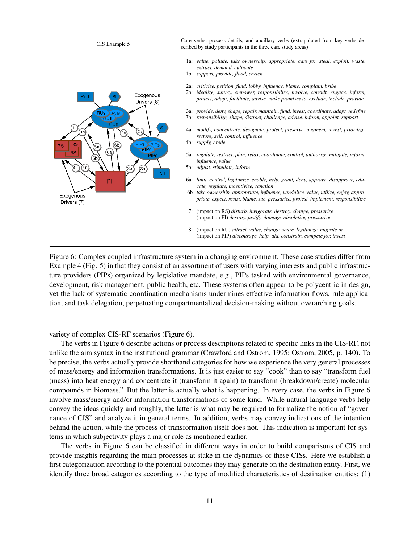

Figure 6: Complex coupled infrastructure system in a changing environment. These case studies differ from Example 4 (Fig. 5) in that they consist of an assortment of users with varying interests and public infrastructure providers (PIPs) organized by legislative mandate, e.g., PIPs tasked with environmental governance, development, risk management, public health, etc. These systems often appear to be polycentric in design, yet the lack of systematic coordination mechanisms undermines effective information flows, rule application, and task delegation, perpetuating compartmentalized decision-making without overarching goals.

variety of complex CIS-RF scenarios (Figure 6).

The verbs in Figure 6 describe actions or process descriptions related to specific links in the CIS-RF, not unlike the aim syntax in the institutional grammar (Crawford and Ostrom, 1995; Ostrom, 2005, p. 140). To be precise, the verbs actually provide shorthand categories for how we experience the very general processes of mass/energy and information transformations. It is just easier to say "cook" than to say "transform fuel (mass) into heat energy and concentrate it (transform it again) to transform (breakdown/create) molecular compounds in biomass." But the latter is actually what is happening. In every case, the verbs in Figure 6 involve mass/energy and/or information transformations of some kind. While natural language verbs help convey the ideas quickly and roughly, the latter is what may be required to formalize the notion of "governance of CIS" and analyze it in general terms. In addition, verbs may convey indications of the intention behind the action, while the process of transformation itself does not. This indication is important for systems in which subjectivity plays a major role as mentioned earlier.

The verbs in Figure 6 can be classified in different ways in order to build comparisons of CIS and provide insights regarding the main processes at stake in the dynamics of these CISs. Here we establish a first categorization according to the potential outcomes they may generate on the destination entity. First, we identify three broad categories according to the type of modified characteristics of destination entities: (1)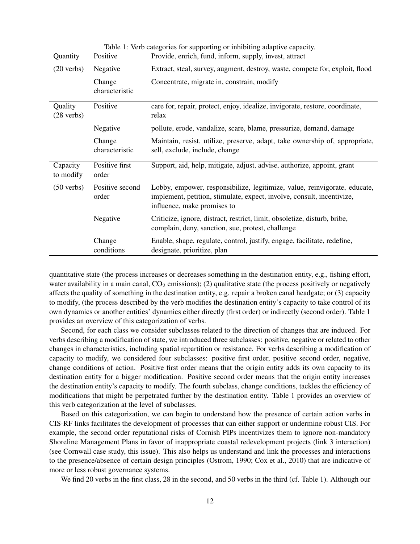| rable 1. Vero ealogories for supporting or inhibiting adaptive eapacity. |                          |                                                                                                                                                                                    |
|--------------------------------------------------------------------------|--------------------------|------------------------------------------------------------------------------------------------------------------------------------------------------------------------------------|
| Quantity                                                                 | Positive                 | Provide, enrich, fund, inform, supply, invest, attract                                                                                                                             |
| $(20 \text{ verbs})$                                                     | Negative                 | Extract, steal, survey, augment, destroy, waste, compete for, exploit, flood                                                                                                       |
|                                                                          | Change<br>characteristic | Concentrate, migrate in, constrain, modify                                                                                                                                         |
| Quality<br>$(28 \text{ verbs})$                                          | Positive                 | care for, repair, protect, enjoy, idealize, invigorate, restore, coordinate,<br>relax                                                                                              |
|                                                                          | Negative                 | pollute, erode, vandalize, scare, blame, pressurize, demand, damage                                                                                                                |
|                                                                          | Change<br>characteristic | Maintain, resist, utilize, preserve, adapt, take ownership of, appropriate,<br>sell, exclude, include, change                                                                      |
| Capacity<br>to modify                                                    | Positive first<br>order  | Support, aid, help, mitigate, adjust, advise, authorize, appoint, grant                                                                                                            |
| $(50 \text{ verbs})$                                                     | Positive second<br>order | Lobby, empower, responsibilize, legitimize, value, reinvigorate, educate,<br>implement, petition, stimulate, expect, involve, consult, incentivize,<br>influence, make promises to |
|                                                                          | Negative                 | Criticize, ignore, distract, restrict, limit, obsoletize, disturb, bribe,<br>complain, deny, sanction, sue, protest, challenge                                                     |
|                                                                          | Change<br>conditions     | Enable, shape, regulate, control, justify, engage, facilitate, redefine,<br>designate, prioritize, plan                                                                            |

Table 1: Verb categories for supporting or inhibiting adaptive capacity.

quantitative state (the process increases or decreases something in the destination entity, e.g., fishing effort, water availability in a main canal,  $CO<sub>2</sub>$  emissions); (2) qualitative state (the process positively or negatively affects the quality of something in the destination entity, e.g. repair a broken canal headgate; or (3) capacity to modify, (the process described by the verb modifies the destination entity's capacity to take control of its own dynamics or another entities' dynamics either directly (first order) or indirectly (second order). Table 1 provides an overview of this categorization of verbs.

Second, for each class we consider subclasses related to the direction of changes that are induced. For verbs describing a modification of state, we introduced three subclasses: positive, negative or related to other changes in characteristics, including spatial repartition or resistance. For verbs describing a modification of capacity to modify, we considered four subclasses: positive first order, positive second order, negative, change conditions of action. Positive first order means that the origin entity adds its own capacity to its destination entity for a bigger modification. Positive second order means that the origin entity increases the destination entity's capacity to modify. The fourth subclass, change conditions, tackles the efficiency of modifications that might be perpetrated further by the destination entity. Table 1 provides an overview of this verb categorization at the level of subclasses.

Based on this categorization, we can begin to understand how the presence of certain action verbs in CIS-RF links facilitates the development of processes that can either support or undermine robust CIS. For example, the second order reputational risks of Cornish PIPs incentivizes them to ignore non-mandatory Shoreline Management Plans in favor of inappropriate coastal redevelopment projects (link 3 interaction) (see Cornwall case study, this issue). This also helps us understand and link the processes and interactions to the presence/absence of certain design principles (Ostrom, 1990; Cox et al., 2010) that are indicative of more or less robust governance systems.

We find 20 verbs in the first class, 28 in the second, and 50 verbs in the third (cf. Table 1). Although our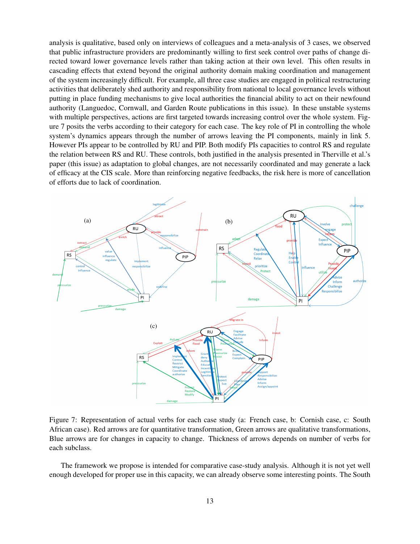analysis is qualitative, based only on interviews of colleagues and a meta-analysis of 3 cases, we observed that public infrastructure providers are predominantly willing to first seek control over paths of change directed toward lower governance levels rather than taking action at their own level. This often results in cascading effects that extend beyond the original authority domain making coordination and management of the system increasingly difficult. For example, all three case studies are engaged in political restructuring activities that deliberately shed authority and responsibility from national to local governance levels without putting in place funding mechanisms to give local authorities the financial ability to act on their newfound authority (Languedoc, Cornwall, and Garden Route publications in this issue). In these unstable systems with multiple perspectives, actions are first targeted towards increasing control over the whole system. Figure 7 posits the verbs according to their category for each case. The key role of PI in controlling the whole system's dynamics appears through the number of arrows leaving the PI components, mainly in link 5. However PIs appear to be controlled by RU and PIP. Both modify PIs capacities to control RS and regulate the relation between RS and RU. These controls, both justified in the analysis presented in Therville et al.'s paper (this issue) as adaptation to global changes, are not necessarily coordinated and may generate a lack of efficacy at the CIS scale. More than reinforcing negative feedbacks, the risk here is more of cancellation of efforts due to lack of coordination.



Figure 7: Representation of actual verbs for each case study (a: French case, b: Cornish case, c: South African case). Red arrows are for quantitative transformation, Green arrows are qualitative transformations, Blue arrows are for changes in capacity to change. Thickness of arrows depends on number of verbs for each subclass.

The framework we propose is intended for comparative case-study analysis. Although it is not yet well enough developed for proper use in this capacity, we can already observe some interesting points. The South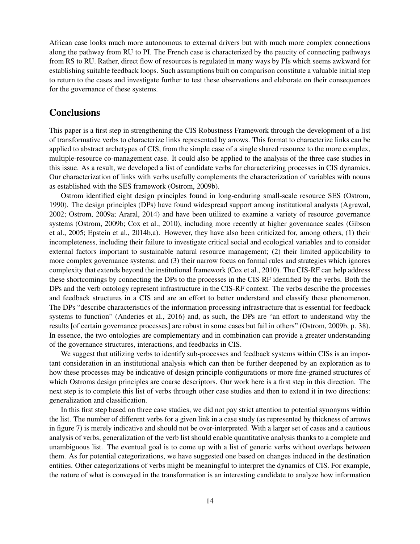African case looks much more autonomous to external drivers but with much more complex connections along the pathway from RU to PI. The French case is characterized by the paucity of connecting pathways from RS to RU. Rather, direct flow of resources is regulated in many ways by PIs which seems awkward for establishing suitable feedback loops. Such assumptions built on comparison constitute a valuable initial step to return to the cases and investigate further to test these observations and elaborate on their consequences for the governance of these systems.

## **Conclusions**

This paper is a first step in strengthening the CIS Robustness Framework through the development of a list of transformative verbs to characterize links represented by arrows. This format to characterize links can be applied to abstract archetypes of CIS, from the simple case of a single shared resource to the more complex, multiple-resource co-management case. It could also be applied to the analysis of the three case studies in this issue. As a result, we developed a list of candidate verbs for characterizing processes in CIS dynamics. Our characterization of links with verbs usefully complements the characterization of variables with nouns as established with the SES framework (Ostrom, 2009b).

Ostrom identified eight design principles found in long-enduring small-scale resource SES (Ostrom, 1990). The design principles (DPs) have found widespread support among institutional analysts (Agrawal, 2002; Ostrom, 2009a; Araral, 2014) and have been utilized to examine a variety of resource governance systems (Ostrom, 2009b; Cox et al., 2010), including more recently at higher governance scales (Gibson et al., 2005; Epstein et al., 2014b,a). However, they have also been criticized for, among others, (1) their incompleteness, including their failure to investigate critical social and ecological variables and to consider external factors important to sustainable natural resource management; (2) their limited applicability to more complex governance systems; and (3) their narrow focus on formal rules and strategies which ignores complexity that extends beyond the institutional framework (Cox et al., 2010). The CIS-RF can help address these shortcomings by connecting the DPs to the processes in the CIS-RF identified by the verbs. Both the DPs and the verb ontology represent infrastructure in the CIS-RF context. The verbs describe the processes and feedback structures in a CIS and are an effort to better understand and classify these phenomenon. The DPs "describe characteristics of the information processing infrastructure that is essential for feedback systems to function" (Anderies et al., 2016) and, as such, the DPs are "an effort to understand why the results [of certain governance processes] are robust in some cases but fail in others" (Ostrom, 2009b, p. 38). In essence, the two ontologies are complementary and in combination can provide a greater understanding of the governance structures, interactions, and feedbacks in CIS.

We suggest that utilizing verbs to identify sub-processes and feedback systems within CISs is an important consideration in an institutional analysis which can then be further deepened by an exploration as to how these processes may be indicative of design principle configurations or more fine-grained structures of which Ostroms design principles are coarse descriptors. Our work here is a first step in this direction. The next step is to complete this list of verbs through other case studies and then to extend it in two directions: generalization and classification.

In this first step based on three case studies, we did not pay strict attention to potential synonyms within the list. The number of different verbs for a given link in a case study (as represented by thickness of arrows in figure 7) is merely indicative and should not be over-interpreted. With a larger set of cases and a cautious analysis of verbs, generalization of the verb list should enable quantitative analysis thanks to a complete and unambiguous list. The eventual goal is to come up with a list of generic verbs without overlaps between them. As for potential categorizations, we have suggested one based on changes induced in the destination entities. Other categorizations of verbs might be meaningful to interpret the dynamics of CIS. For example, the nature of what is conveyed in the transformation is an interesting candidate to analyze how information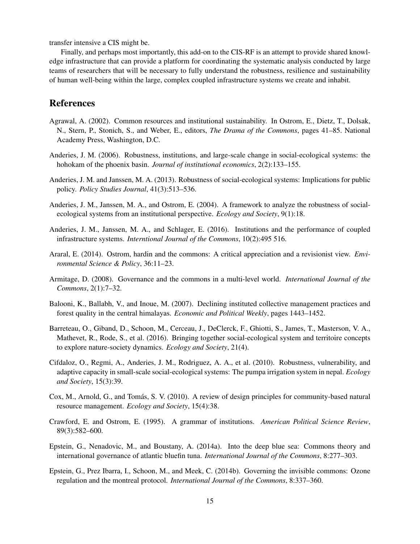transfer intensive a CIS might be.

Finally, and perhaps most importantly, this add-on to the CIS-RF is an attempt to provide shared knowledge infrastructure that can provide a platform for coordinating the systematic analysis conducted by large teams of researchers that will be necessary to fully understand the robustness, resilience and sustainability of human well-being within the large, complex coupled infrastructure systems we create and inhabit.

## References

- Agrawal, A. (2002). Common resources and institutional sustainability. In Ostrom, E., Dietz, T., Dolsak, N., Stern, P., Stonich, S., and Weber, E., editors, *The Drama of the Commons*, pages 41–85. National Academy Press, Washington, D.C.
- Anderies, J. M. (2006). Robustness, institutions, and large-scale change in social-ecological systems: the hohokam of the phoenix basin. *Journal of institutional economics*, 2(2):133–155.
- Anderies, J. M. and Janssen, M. A. (2013). Robustness of social-ecological systems: Implications for public policy. *Policy Studies Journal*, 41(3):513–536.
- Anderies, J. M., Janssen, M. A., and Ostrom, E. (2004). A framework to analyze the robustness of socialecological systems from an institutional perspective. *Ecology and Society*, 9(1):18.
- Anderies, J. M., Janssen, M. A., and Schlager, E. (2016). Institutions and the performance of coupled infrastructure systems. *Interntional Journal of the Commons*, 10(2):495 516.
- Araral, E. (2014). Ostrom, hardin and the commons: A critical appreciation and a revisionist view. *Environmental Science & Policy*, 36:11–23.
- Armitage, D. (2008). Governance and the commons in a multi-level world. *International Journal of the Commons*, 2(1):7–32.
- Balooni, K., Ballabh, V., and Inoue, M. (2007). Declining instituted collective management practices and forest quality in the central himalayas. *Economic and Political Weekly*, pages 1443–1452.
- Barreteau, O., Giband, D., Schoon, M., Cerceau, J., DeClerck, F., Ghiotti, S., James, T., Masterson, V. A., Mathevet, R., Rode, S., et al. (2016). Bringing together social-ecological system and territoire concepts to explore nature-society dynamics. *Ecology and Society*, 21(4).
- Cifdaloz, O., Regmi, A., Anderies, J. M., Rodriguez, A. A., et al. (2010). Robustness, vulnerability, and adaptive capacity in small-scale social-ecological systems: The pumpa irrigation system in nepal. *Ecology and Society*, 15(3):39.
- Cox, M., Arnold, G., and Tomas, S. V. (2010). A review of design principles for community-based natural ´ resource management. *Ecology and Society*, 15(4):38.
- Crawford, E. and Ostrom, E. (1995). A grammar of institutions. *American Political Science Review*, 89(3):582–600.
- Epstein, G., Nenadovic, M., and Boustany, A. (2014a). Into the deep blue sea: Commons theory and international governance of atlantic bluefin tuna. *International Journal of the Commons*, 8:277–303.
- Epstein, G., Prez Ibarra, I., Schoon, M., and Meek, C. (2014b). Governing the invisible commons: Ozone regulation and the montreal protocol. *International Journal of the Commons*, 8:337–360.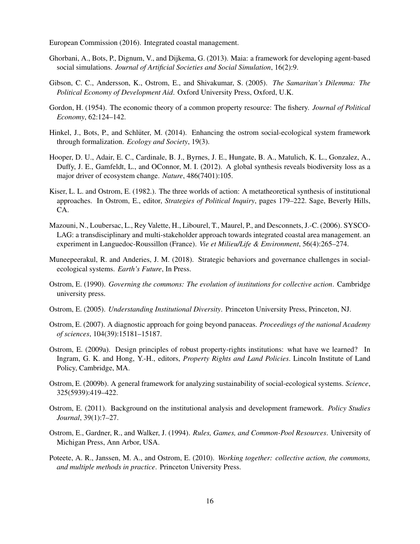European Commission (2016). Integrated coastal management.

- Ghorbani, A., Bots, P., Dignum, V., and Dijkema, G. (2013). Maia: a framework for developing agent-based social simulations. *Journal of Artificial Societies and Social Simulation*, 16(2):9.
- Gibson, C. C., Andersson, K., Ostrom, E., and Shivakumar, S. (2005). *The Samaritan's Dilemma: The Political Economy of Development Aid*. Oxford University Press, Oxford, U.K.
- Gordon, H. (1954). The economic theory of a common property resource: The fishery. *Journal of Political Economy*, 62:124–142.
- Hinkel, J., Bots, P., and Schlüter, M. (2014). Enhancing the ostrom social-ecological system framework through formalization. *Ecology and Society*, 19(3).
- Hooper, D. U., Adair, E. C., Cardinale, B. J., Byrnes, J. E., Hungate, B. A., Matulich, K. L., Gonzalez, A., Duffy, J. E., Gamfeldt, L., and OConnor, M. I. (2012). A global synthesis reveals biodiversity loss as a major driver of ecosystem change. *Nature*, 486(7401):105.
- Kiser, L. L. and Ostrom, E. (1982.). The three worlds of action: A metatheoretical synthesis of institutional approaches. In Ostrom, E., editor, *Strategies of Political Inquiry*, pages 179–222. Sage, Beverly Hills, CA.
- Mazouni, N., Loubersac, L., Rey Valette, H., Libourel, T., Maurel, P., and Desconnets, J.-C. (2006). SYSCO-LAG: a transdisciplinary and multi-stakeholder approach towards integrated coastal area management. an experiment in Languedoc-Roussillon (France). *Vie et Milieu/Life & Environment*, 56(4):265–274.
- Muneepeerakul, R. and Anderies, J. M. (2018). Strategic behaviors and governance challenges in socialecological systems. *Earth's Future*, In Press.
- Ostrom, E. (1990). *Governing the commons: The evolution of institutions for collective action*. Cambridge university press.
- Ostrom, E. (2005). *Understanding Institutional Diversity*. Princeton University Press, Princeton, NJ.
- Ostrom, E. (2007). A diagnostic approach for going beyond panaceas. *Proceedings of the national Academy of sciences*, 104(39):15181–15187.
- Ostrom, E. (2009a). Design principles of robust property-rights institutions: what have we learned? In Ingram, G. K. and Hong, Y.-H., editors, *Property Rights and Land Policies*. Lincoln Institute of Land Policy, Cambridge, MA.
- Ostrom, E. (2009b). A general framework for analyzing sustainability of social-ecological systems. *Science*, 325(5939):419–422.
- Ostrom, E. (2011). Background on the institutional analysis and development framework. *Policy Studies Journal*, 39(1):7–27.
- Ostrom, E., Gardner, R., and Walker, J. (1994). *Rules, Games, and Common-Pool Resources*. University of Michigan Press, Ann Arbor, USA.
- Poteete, A. R., Janssen, M. A., and Ostrom, E. (2010). *Working together: collective action, the commons, and multiple methods in practice*. Princeton University Press.